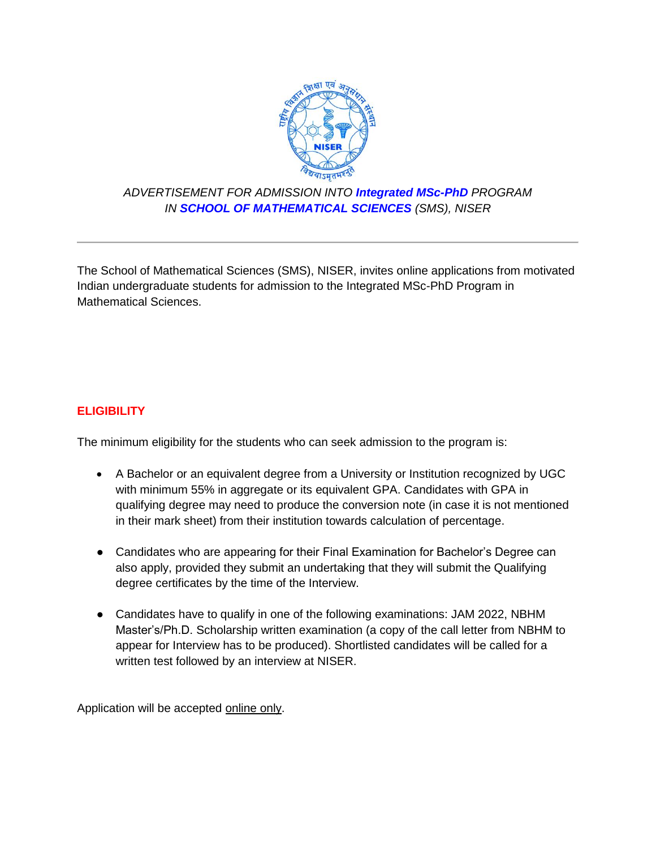

## *ADVERTISEMENT FOR ADMISSION INTO Integrated MSc-PhD PROGRAM IN SCHOOL OF MATHEMATICAL SCIENCES (SMS), NISER*

The School of Mathematical Sciences (SMS), NISER, invites online applications from motivated Indian undergraduate students for admission to the Integrated MSc-PhD Program in Mathematical Sciences.

## **ELIGIBILITY**

The minimum eligibility for the students who can seek admission to the program is:

- A Bachelor or an equivalent degree from a University or Institution recognized by UGC with minimum 55% in aggregate or its equivalent GPA. Candidates with GPA in qualifying degree may need to produce the conversion note (in case it is not mentioned in their mark sheet) from their institution towards calculation of percentage.
- Candidates who are appearing for their Final Examination for Bachelor's Degree can also apply, provided they submit an undertaking that they will submit the Qualifying degree certificates by the time of the Interview.
- Candidates have to qualify in one of the following examinations: JAM 2022, NBHM Master's/Ph.D. Scholarship written examination (a copy of the call letter from NBHM to appear for Interview has to be produced). Shortlisted candidates will be called for a written test followed by an interview at NISER.

Application will be accepted online only.